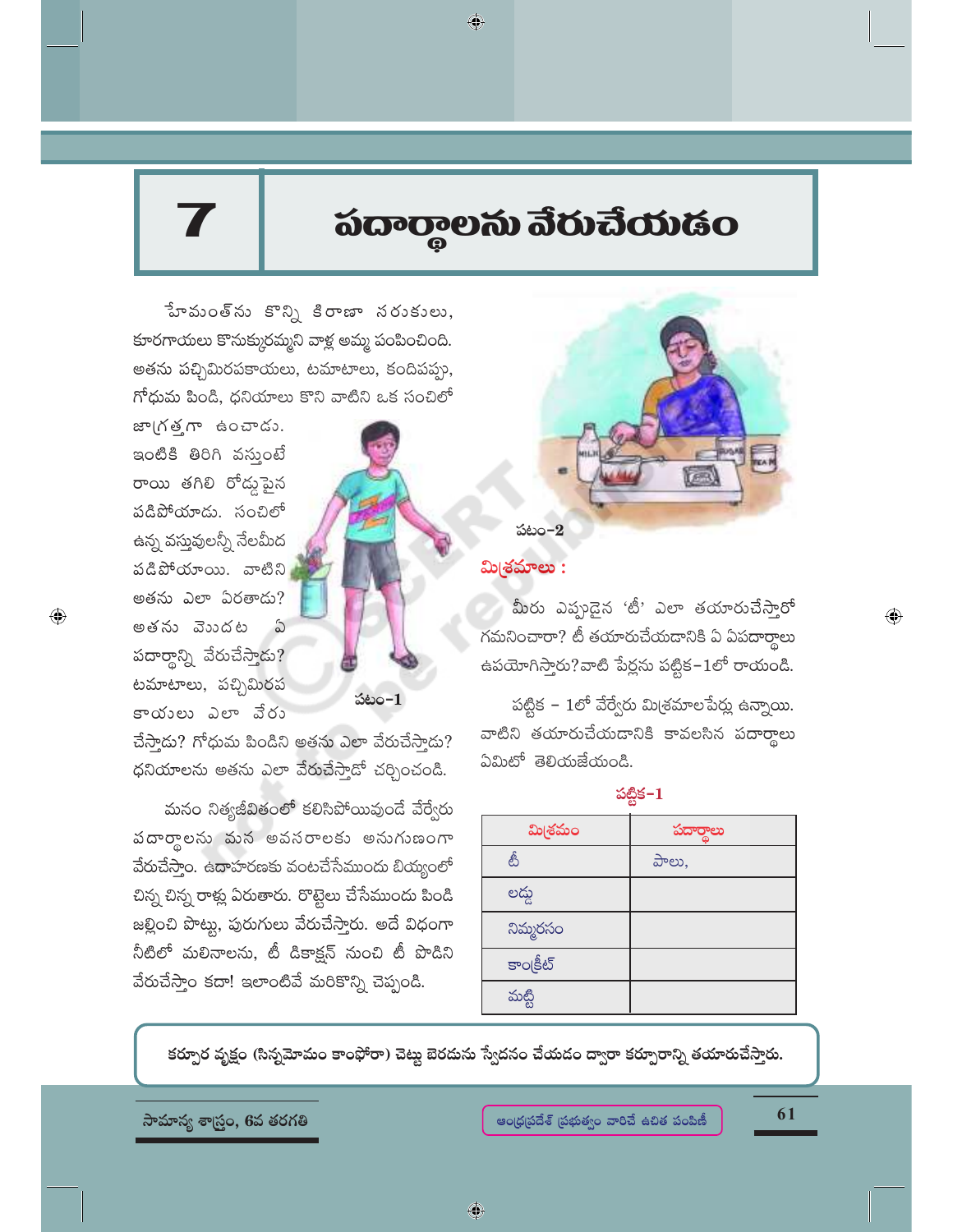# పదార్థాలను వేరుచేయడం

◈

w woo w s and some  $\delta$  of  $\delta$ కూరగాయలు కొనుక్కురమ్మని వాళ్ల అమ్మ పంపించింది. అతను పచ్చిమిరపకాయలు, టమాటాలు, కందిపప్పు, గోధుమ పిండి, ధనియాలు కొని వాటిని ఒక సంచిలో

జా(గత్తగా ఉంచాడు. ఇంటికి తిరిగి వస్తుంటే రాయి తగిలి రోడ్డుపైన పడిపోయాడు. సంచిలో ఉన్న వస్తువులన్నీ నేలమీద పడిపోయాయి. వాటిని అతను ఎలా ఏరతాడు? అతను వెుుదట  $\hat{\omega}$ పదార్థాన్ని వేరుచేస్తాడు? టమాటాలు, పచ్చిమిరప కాయంలు ఎలా వేరు

 $\bigoplus$ 



చేస్తాడు? గోధుమ పిండిని అతను ఎలా వేరుచేస్తాడు? ధనియాలను అతను ఎలా వేరుచేస్తాడో చర్చించండి.

మనం నిత్యజీవితంలో కలిసిపోయివుండే వేర్వేరు పదార్థాలను మన అవసరాలకు అనుగుణంగా వేరుచేస్తాం. ఉదాహరణకు వంటచేసేముందు బియ్యంలో చిన్న చిన్న రాళ్లు ఏరుతారు. రొట్టెలు చేసేముందు పిండి జల్లించి పొట్టు, పురుగులు వేరుచేస్తారు. అదే విధంగా నీటిలో మలినాలను, టీ డికాక్షన్ నుంచి టీ పొడిని వేరుచేస్తాం కదా! ఇలాంటివే మరికొన్ని చెప్పండి.



# <u>మి(శమాలు :</u>

మీరు ఎప్పుడైన 'టీ' ఎలా తయారుచేస్తారో గమనించారా? టీ తయారుచేయడానికి ఏ ఏపదార్థాలు ఉపయోగిస్తారు?వాటి పేర్లను పట్టిక–1లో రాయండి.

పట్టిక – 1లో వేర్వేరు మి(శమాలపేర్లు ఉన్నాయి. వాటిని తయారుచేయడానికి కావలసిన పదార్థాలు ఏమిటో తెలియజేయండి.

#### పట్టిక $-1$

| మి(శమం    | పదార్థాలు |
|-----------|-----------|
| తీ        | పాలు,     |
| లద్దు     |           |
| నిమ్మరసం  |           |
| కాంక్రీట్ |           |
| మట్టి     |           |

కర్పూర వృక్షం (సిన్నమోమం కాంఫోరా) చెట్టు బెరదును స్వేదనం చేయడం ద్వారా కర్పూరాన్ని తయారుచేస్తారు.



61

 $\textcolor{black}{\textcolor{black}{\bigoplus}}$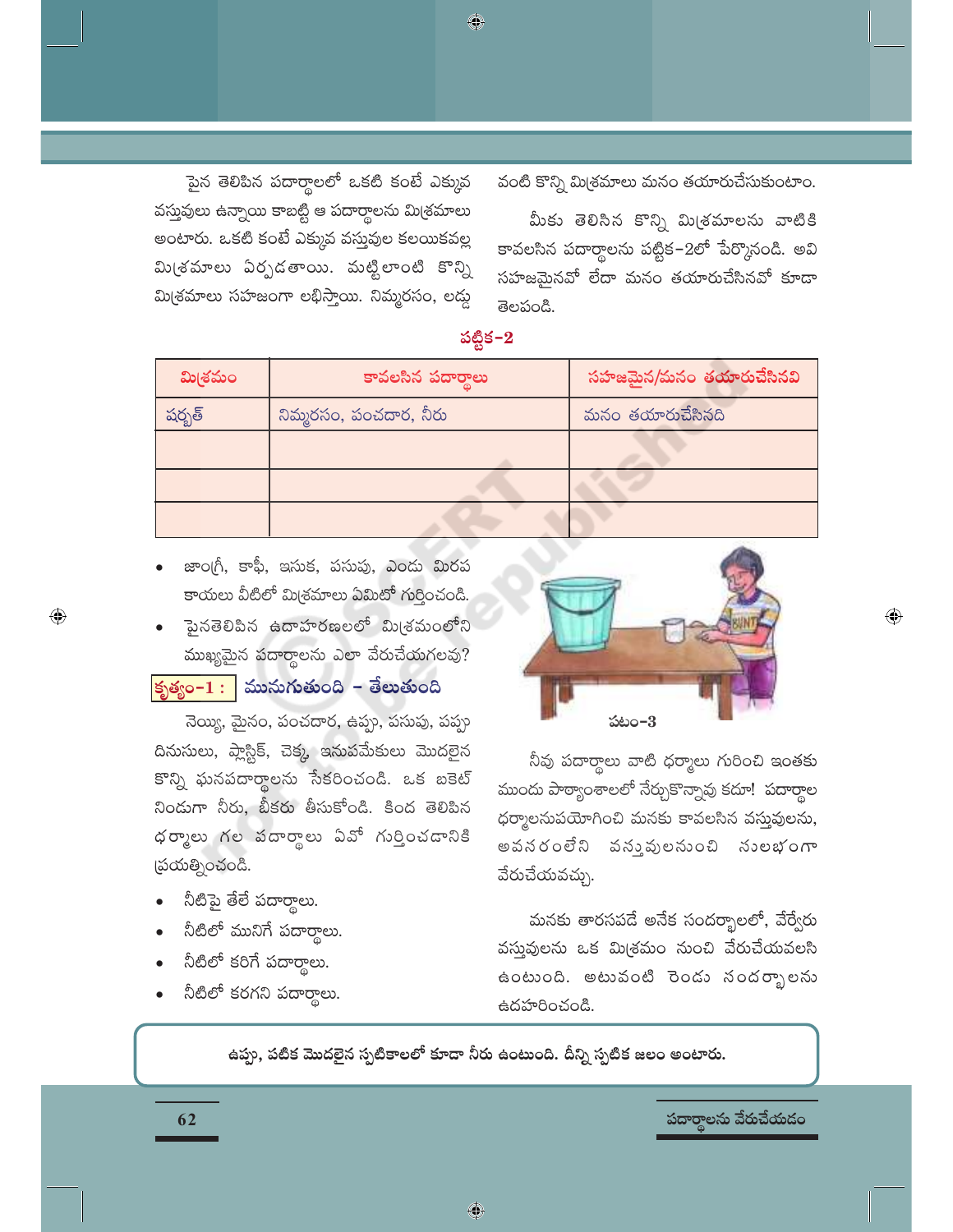పైన తెలిపిన పదార్థాలలో ఒకటి కంటే ఎక్కువ వస్తువులు ఉన్నాయి కాబట్టి ఆ పదార్థాలను మి(శమాలు అంటారు. ఒకటి కంటే ఎక్కువ వస్తువుల కలయికవల్ల మి(శమాలు ఏర్పడతాయి. మట్టిలాంటి కొన్ని మి(శమాలు సహజంగా లభిస్తాయి. నిమ్మరసం, లడ్డ

వంటి కొన్ని మిశ్రమాలు మనం తయారుచేసుకుంటాం.

మీకు తెలిసిన కొన్ని మి(శమాలను వాటికి కావలసిన పదార్థాలను పట్టిక–2లో పేర్కొనండి. అవి సహజమైనవో లేదా మనం తయారుచేసినవో కూడా తెలపండి.

| మి(శమం | కావలసిన పదారాలు        | సహజమైన/మనం తయారుచేసినవి |  |
|--------|------------------------|-------------------------|--|
| షర్బత్ | నిమ్మరసం, పంచదార, నీరు | మనం తయారుచేసినది        |  |
|        |                        |                         |  |
|        |                        |                         |  |
|        |                        |                         |  |

• జాంగ్రీ, కాఫీ, ఇసుక, పసుపు, ఎందు మిరప కాయలు వీటిలో మి(శమాలు ఏమిటో గుర్తించండి.

పైనతెలిపిన ఉదాహరణలలో మి(శమంలోని ముఖ్యమైన పదార్థాలను ఎలా వేరుచేయగలవు?

<mark>(కృత్యం– $\mathbf{1}: \;\big|$  ముసుగుతుంది – తేలుతుంది</mark>

నెయ్యి, మైనం, పంచదార, ఉప్పు, పసుపు, పప్పు దినుసులు, ప్లాస్టిక్, చెక్క, ఇనుపమేకులు మొదలైన కొన్ని ఘనపదార్థాలను సేకరించండి. ఒక బకెట్ నిండుగా నీరు, బీకరు తీసుకోండి. కింద తెలిపిన ధర్మాలు గల వదార్థాలు ఏవో గుర్తించడానికి స్రయత్నించండి.

నీటిపై తేలే పదార్థాలు.

 $\bigoplus$ 

- నీటిలో మునిగే పదార్థాలు.
- నీటిలో కరిగే పదార్థాలు.
- నీటిలో కరగని పదార్థాలు.

62



 $\textcircled{\scriptsize\textsf{P}}$ 

నీవు పదార్థాలు వాటి ధర్మాలు గురించి ఇంతకు ముందు పాఠ్యాంశాలలో నేర్చుకొన్నావు కదూ! పదార్థాల ధర్మాలనుపయోగించి మనకు కావలసిన వస్తువులను, అవనరంలేని వనువులనుంచి నులభంగా వేరుచేయవచ్చు.

మనకు తారసపడే అనేక సందర్భాలలో, వేర్వేరు వస్తువులను ఒక మి(శమం నుంచి వేరుచేయవలసి ఉంటుంది. అటువంటి రెండు సందర్భాలను ఉదహరించండి.

ఉప్పు, పటిక మొదలైన స్పటికాలలో కూడా నీరు ఉంటుంది. దీన్ని స్పటిక జలం అంటారు.

పదార్థాలను వేరుచేయడం

పట్టిక $-2$ 

♦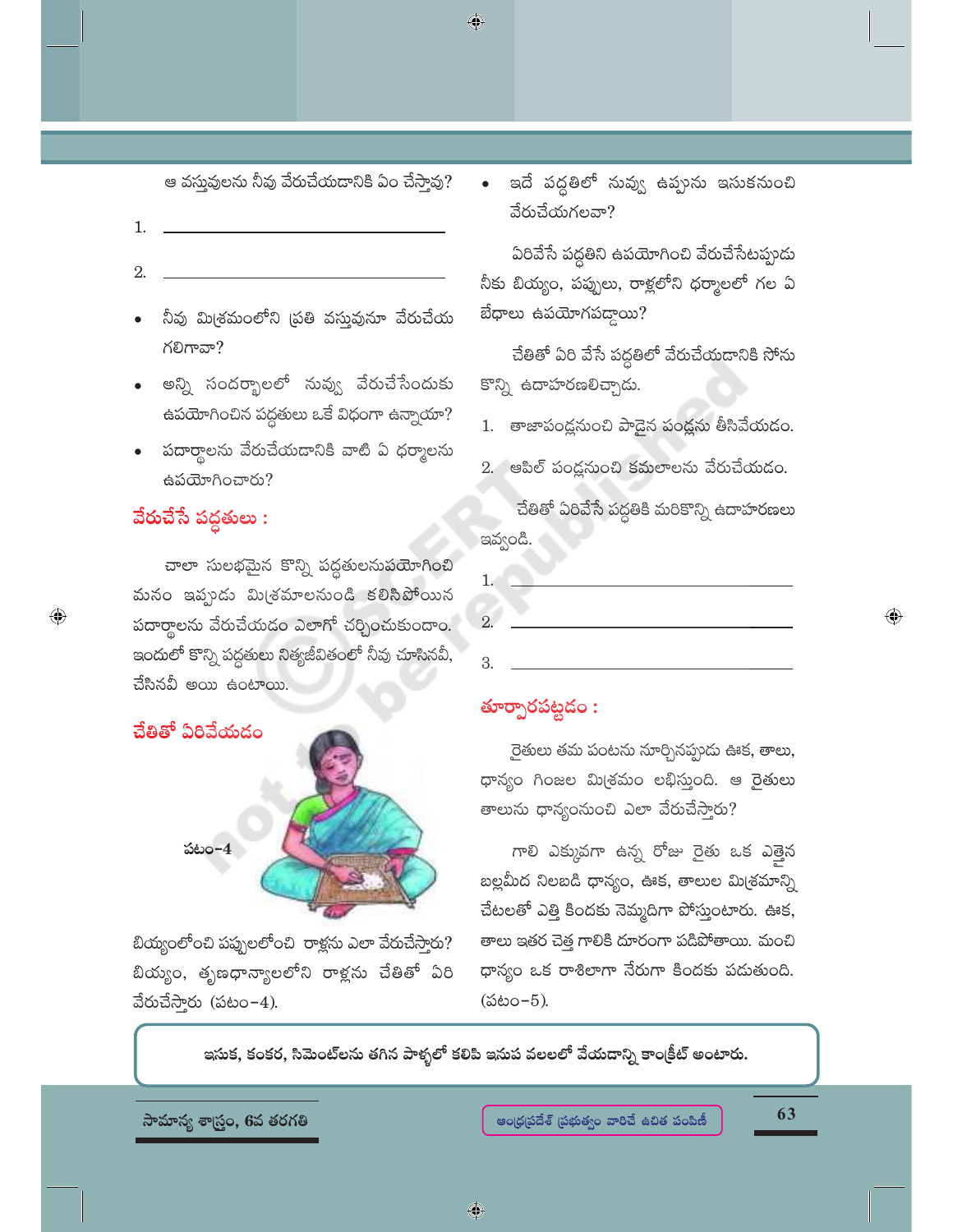$\bigcirc$ 

ఆ వస్తువులను నీవు వేరుచేయడానికి ఏం చేస్తావు?

- 1.
- 2.
- నీవు మి(శమంలోని (పతి వస్తువునూ వేరుచేయ గలిగావా?
- అన్ని సందర్భాలలో నువ్వు వేరుచేసేందుకు ఉపయోగించిన పద్ధతులు ఒకే విధంగా ఉన్నాయా?
- పదార్థాలను వేరుచేయడానికి వాటి ఏ ధర్మాలను ఉపయోగించారు?

# వేరుచేసే పద్దతులు :

 $\bigoplus$ 

చాలా సులభమైన కొన్ని పద్ధతులనుపయోగించి మనం ఇప్పుడు మి(శమాలనుండి కలిసిపోయిన పదార్థాలను వేరుచేయడం ఎలాగో చర్చించుకుందాం. ఇందులో కొన్ని పద్ధతులు నిత్యజీవితంలో నీవు చూసినవీ, చేసినవీ అయి ఉంటాయి.



బియ్యంలోంచి పప్పులలోంచి రాళ్లను ఎలా వేరుచేస్తారు? బియ్యం, తృణధాన్యాలలోని రాళ్లను చేతితో ఏరి వేరుచేస్తారు (పటం–4).

ఇదే పద్ధతిలో నువ్వు ఉప్పును ఇసుకనుంచి  $\bullet$ వేరుచేయగలవా?

ఏరివేసే పద్ధతిని ఉపయోగించి వేరుచేసేటప్పుడు నీకు బియ్యం, పప్పులు, రాక్లలోని ధర్మాలలో గల ఏ బేధాలు ఉపయోగపడ్డాయి?

చేతితో ఏరి వేసే పద్ధతిలో వేరుచేయడానికి సోను కొన్ని ఉదాహరణలిచ్చాడు.

- 1. తాజాపండ్లనుంచి పాడైన పండ్లను తీసివేయడం.
- 2. ఆపిల్ పండ్లనుంచి కమలాలను వేరుచేయడం.

చేతితో ఏరివేసే పద్దతికి మరికొన్ని ఉదాహరణలు ఇవ్వండి.

### తూర్పారపట్టడం:

రైతులు తమ పంటను నూర్చినప్పుడు ఊక, తాలు, ధాన్యం గింజల మి(శమం లభిస్తుంది. ఆ రైతులు తాలుసు ధాన్యంనుంచి ఎలా వేరుచేస్తారు?

గాలి ఎక్కువగా ఉన్న రోజు రైతు ఒక ఎత్తైన బల్లమీద నిలబడి ధాన్యం, ఊక, తాలుల మి(శమాన్ని చేటలతో ఎత్తి కిందకు నెమ్మదిగా పోస్తుంటారు. ఊక, తాలు ఇతర చెత్త గాలికి దూరంగా పడిపోతాయి. మంచి ధాన్యం ఒక రాశిలాగా నేరుగా కిందకు పడుతుంది.  $(560 - 5)$ .

ఇసుక, కంకర, సిమెంట్లను తగిన పాళ్ళలో కలిపి ఇనుప వలలలో వేయదాన్ని కాంక్రీట్ అంటారు.

సామాన్య శాస్ర్టం, 6వ తరగతి

63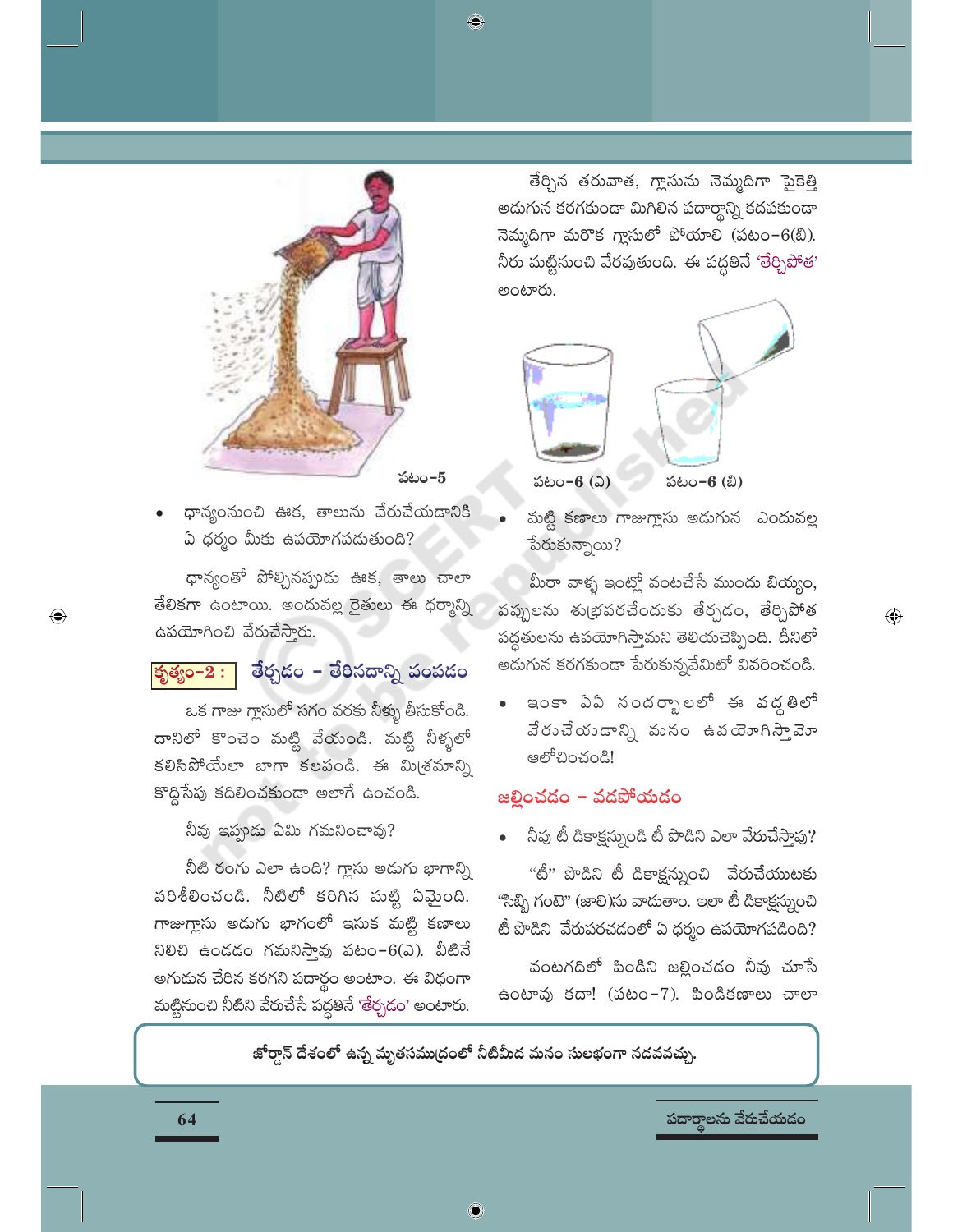♦



ధాన్యంనుంచి ఊక, తాలును వేరుచేయడానికి ఏ ధర్మం మీకు ఉపయోగపడుతుంది?

ధాన్యంతో పోల్చినప్పుడు ఊక, తాలు చాలా తేలికగా ఉంటాయి. అందువల్ల రైతులు ఈ ధర్మాన్ని ఉపయోగించి వేరుచేస్తారు.

#### తేర్చడం – తేరినదాన్ని వంపడం కృత్యం– $2:$

ఒక గాజు గ్లాసులో సగం వరకు నీళ్ళు తీసుకోండి. దానిలో కొంచెం మట్టి వేయండి. మట్టి నీళ్ళలో కలిసిపోయేలా బాగా కలపండి. ఈ మి(శమాన్ని కొద్దిసేపు కదిలించకుండా అలాగే ఉంచండి.

నీవు ఇప్పుడు ఏమి గమనించావు?

నీటి రంగు ఎలా ఉంది? గ్లాసు అడుగు భాగాన్ని పరిశీలించండి. నీటిలో కరిగిన మట్టి ఏమైంది. గాజుగ్లాసు అదుగు భాగంలో ఇసుక మట్టి కణాలు నిలిచి ఉండడం గమనిస్తావు పటం–6(ఎ). వీటినే అగుదున చేరిన కరగని పదార్థం అంటాం. ఈ విధంగా మట్టినుంచి నీటిని వేరుచేసే పద్ధతినే 'తేర్చడం' అంటారు.

తేర్చిన తరువాత, గ్లాసును నెమ్మదిగా పైకెత్తి అదుగున కరగకుండా మిగిలిన పదార్థాన్ని కదపకుండా నెమ్మదిగా మరొక గ్లాసులో పోయాలి (పటం–6(బి). నీరు మట్టినుంచి వేరవుతుంది. ఈ పద్ధతినే 'తేర్చిపోత' అంటారు.



మట్టి కణాలు గాజుగ్లాసు అదుగున ఎందువల్ల పేరుకున్నాయి?

మీరా వాళ్ళ ఇంట్లో వంటచేసే ముందు బియ్యం, పప్పులను శుభ్రపరచేందుకు తేర్చడం, తేర్చిపోత పద్ధతులను ఉపయోగిస్తామని తెలియచెప్పింది. దీనిలో అడుగున కరగకుండా పేరుకున్నవేమిటో వివరించండి.

 $\textcolor{black}{\textcolor{black}{\bigoplus}}$ 

ఇంకా ఏఏ నందర్భాలలో ఈ వద్దతిలో వేరుచేయండాన్ని మనం ఉపయోగిస్తావెూ ఆలోచించండి!

#### జల్లించడం – వడపోయడం

నీవు టీ డికాక్షన్నుండి టీ పొడిని ఎలా వేరుచేస్తావు?

"టీ" పొడిని టీ డికాక్షన్నుంచి వేరుచేయుటకు "సిబ్బి గంటె" (జాలి)ను వాదుతాం. ఇలా టీ డికాక్షన్నుంచి టీ పొడిని వేరుపరచడంలో ఏ ధర్మం ఉపయోగపడింది?

వంటగదిలో పిండిని జల్లించడం నీవు చూసే ఉంటావు కదా! (పటం–7). పిండికణాలు చాలా

జోర్దాన్ దేశంలో ఉన్న మృతసముద్రంలో నీటిమీద మనం సులభంగా నదవవచ్చు.

♦

పదార్థాలను వేరుచేయడం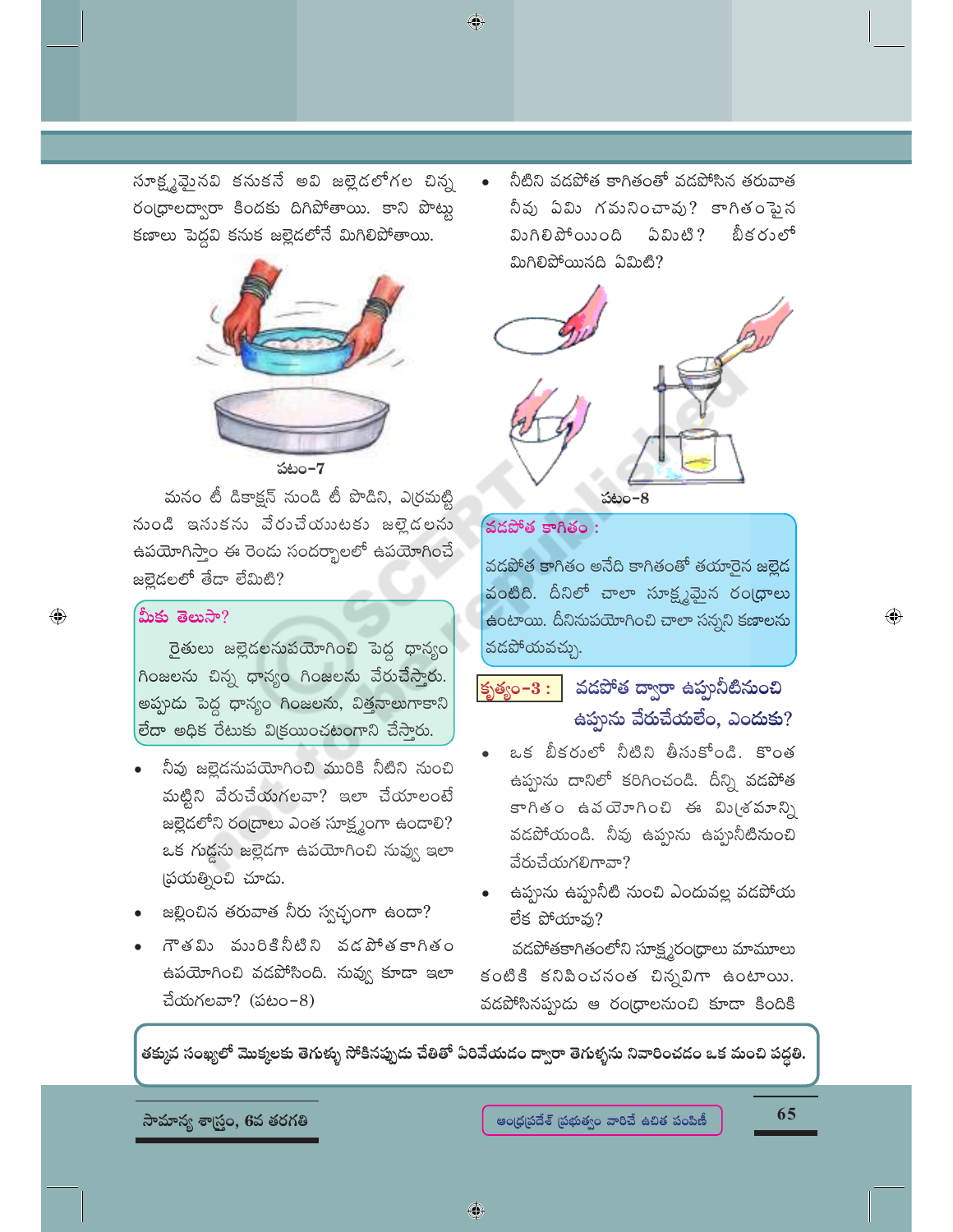సూక్ష్మవైంనవి కనుకనే అవి జల్లైడలోగల చిన్న రం(ధాలద్వారా కిందకు దిగిపోతాయి. కాని పొట్టు కణాలు పెద్దవి కనుక జల్లెడలోనే మిగిలిపోతాయి.



పటం-7

మనం టీ డికాక్షన్ నుండి టీ పొడిని, ఎర్రమట్టి నుండి ఇసుకను వేరుచేయుటకు జల్లైడలను ఉపయోగిస్తాం ఈ రెండు సందర్భాలలో ఉపయోగించే జల్లెడలలో తేదా లేమిటి?

#### మీకు తెలుసా?

 $\bigoplus$ 

రైతులు జల్లైడలనుపయోగించి పెద్ద ధాన్యం గింజలను చిన్న ధాన్యం గింజలను వేరుచేస్తారు. అప్పుడు పెద్ద ధాన్యం గింజలను, విత్తనాలుగాకాని లేదా అధిక రేటుకు విక్రయించటంగాని చేసారు.

- నీవు జల్లెడనుపయోగించి మురికి నీటిని నుంచి మట్టిని వేరుచేయగలవా? ఇలా చేయాలంటే జల్లెడలోని రంద్రాలు ఎంత సూక్ష్మంగా ఉండాలి? ఒక గుడ్డను జల్లెడగా ఉపయోగించి నువ్వ ఇలా (పయత్నించి చూడు.
- జల్లించిన తరువాత నీరు స్వచ్చంగా ఉందా?
- గౌతమి మురికినీటిని వడపోతకాగితం ఉపయోగించి వడపోసింది. నువ్వ కూడా ఇలా చేయగలవా? (పటం–8)

నీటిని వడపోత కాగితంతో వడపోసిన తరువాత నీవు ఏమి గమనించావు? కాగితంపైన మిగిలిపోయింది ఏమిటి ? బీకరులో మిగిలిపోయినది ఏమిటి?





◈

వడపోత కాగితం అనేది కాగితంతో తయారైన జల్లైడ వంటిది. దీనిలో చాలా సూక్ష్మమైన రంధ్రాలు ఉంటాయి. దీనినుపయోగించి చాలా సన్నని కణాలను వడపోయవచ్చు.

# కృత్యం- $3:$  వడపోత ద్వారా ఉప్తూనీటినుంచి ఉప్పును వేరుచేయలేం, ఎందుకు?

- ఒక బీకరులో నీటిని తీసుకోండి. కొంత ఉప్తును దానిలో కరిగించండి. దీన్ని వడపోత కాగితం ఉపయోగించి ఈ మి(శమాన్ని వడపోయండి. నీవు ఉప్పును ఉప్పనీటినుంచి వేరుచేయగలిగావా?
- ఉప్పును ఉప్పునీటి నుంచి ఎందువల్ల వడపోయ లేక పోయామ?

వడపోతకాగితంలోని సూక్ష్మరంధ్రాలు మామూలు కంటికి కనిపించనంత చిన్నవిగా ఉంటాయి. వడపోసినప్పుడు ఆ రంధ్రాలనుంచి కూడా కిందికి

తక్కువ సంఖ్యలో మొక్కలకు తెగుళ్ళు సోకినప్పుడు చేతితో ఏరివేయడం ద్వారా తెగుళ్ళను నివారించడం ఒక మంచి పద్దతి.

సామాన్య శాస్ర్టం, 6వ తరగతి

65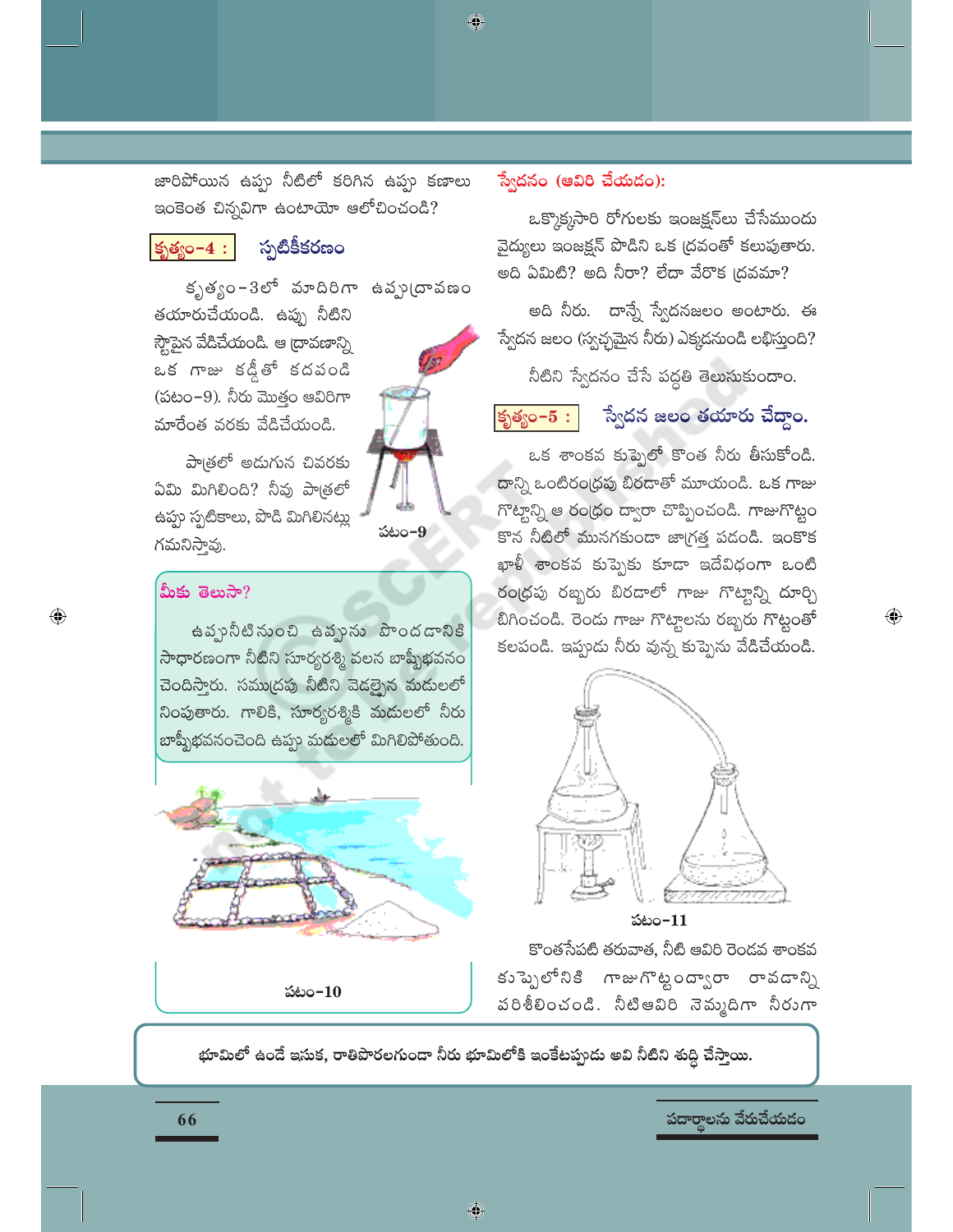జారిపోయిన ఉప్పు నీటిలో కరిగిన ఉప్పు కణాలు ఇంకెంత చిన్నవిగా ఉంటాయో ఆలోచించండి?

#### $|\mathsf{S}_\lambda\mathsf{S}_\lambda\mathsf{S}_\lambda\mathsf{S}_\lambda\mathsf{S}_\lambda\mathsf{S}_\lambda|$

# స్పటికీకరణం

కృత్యం-3లో మాదిరిగా ఉప్పు(దావణం తయారుచేయండి. ఉప్పు నీటిని స్ట్గెపైన వేడిచేయండి. ఆ ద్రావణాన్ని ఒక గాజు కడ్డీతో కదపండి (పటం $-9$ ). నీరు మొత్తం ఆవిరిగా మారేంత వరకు వేడిచేయండి.



పాౖతలో అడుగున చివరకు ఏమి మిగిలింది? నీవు పాత్రలో ఉప్పు స్పటికాలు, పొడి మిగిలినట్లు గమనిస్తావు.

#### మీకు తెలుసా?

 $\bigoplus$ 

ఉప్పునీటినుంచి ఉవ్చును పొందడానికి సాధారణంగా నీటిని సూర్యరశ్మి వలన బాష్పీభవనం చెందిస్తారు. సముద్రపు నీటిని వెడల్బైన మదులలో నింపుతారు. గాలికి, సూర్యరశ్మికి మదులలో నీరు బాష్పీభవనంచెంది ఉప్పు మదులలో మిగిలిపోతుంది.



పటం-10

#### స్వేదనం (ఆవిరి చేయడం):

♦

ఒక్కొక్కసారి రోగులకు ఇంజక్షన్లు చేసేముందు వైద్యులు ఇంజక్షన్ పొడిని ఒక (దవంతో కలుపుతారు. అది ఏమిటి? అది నీరా? లేదా వేరొక (దవమా?

అది నీరు. దాన్నే స్వేదనజలం అంటారు. ఈ స్వేదన జలం (స్వచ్ఛమైన నీరు) ఎక్కడనుండి లభిస్తుంది?

నీటిని స్వేదనం చేసే పద్ధతి తెలుసుకుందాం.

#### కృత్యం– $5:$

# స్వేదన జలం తయారు చేద్దాం.

 $\bigoplus$ 

ఒక శాంకవ కుప్పెలో కొంత నీరు తీసుకోండి. దాన్ని ఒంటిరంధ్రపు బిరదాతో మూయండి. ఒక గాజు గొట్టాన్ని ఆ రంధ్రం ద్వారా చొప్పించండి. గాజుగొట్టం కొన నీటిలో మునగకుండా జాగ్రత్త పడండి. ఇంకొక ఖాళీ శాంకవ కుప్పెకు కూడా ఇదేవిధంగా ఒంటి రంధ్రపు రబ్బరు బిరడాలో గాజు గొట్టాన్ని దూర్చి బిగించండి. రెందు గాజు గొట్టాలను రబ్బరు గొట్టంతో కలపండి. ఇప్పుడు నీరు వున్న కుప్పెను వేడిచేయండి.



పటం $-11$ 

కొంతసేపటి తరువాత, నీటి ఆవిరి రెండవ శాంకవ కుప్పెలోనికి గాజుగొట్టంద్వారా రావడాన్ని పరిశీలించండి. నీటిఆవిరి నెమ్మదిగా నీరుగా

భూమిలో ఉండే ఇసుక, రాతిపొరలగుండా నీరు భూమిలోకి ఇంకేటప్పుడు అవి నీటిని శుద్ధి చేస్తాయి.

పదార్థాలను వేరుచేయడం

66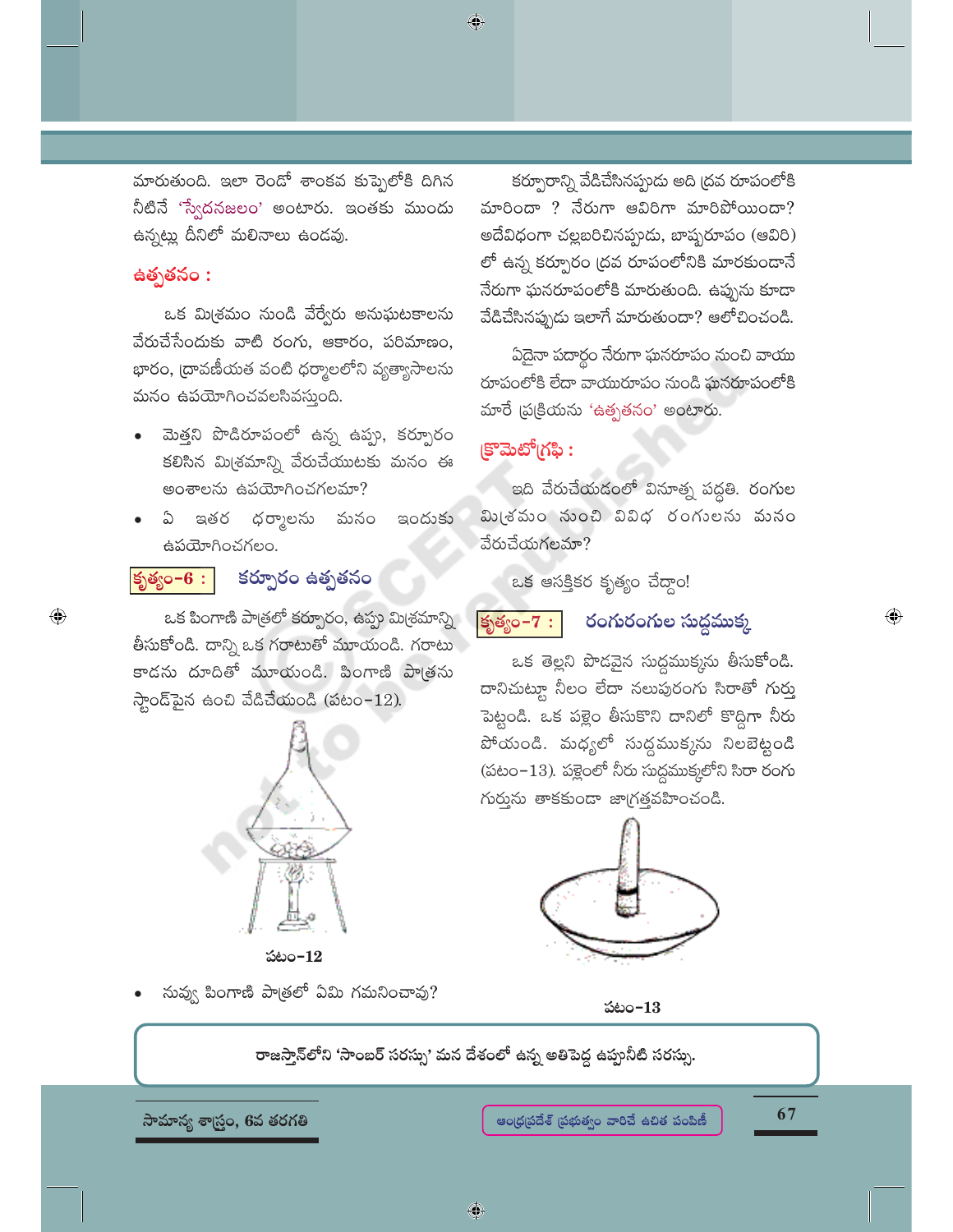మారుతుంది. ఇలా రెండో శాంకవ కుప్పెలోకి దిగిన నీటినే 'స్వేదనజలం' అంటారు. ఇంతకు ముందు ఉన్నట్లు దీనిలో మలినాలు ఉండవు.

#### ఉత్పతనం :

 $\bigoplus$ 

ఒక మిశ్రమం నుండి వేర్వేరు అనుఘటకాలను వేరుచేసేందుకు వాటి రంగు, ఆకారం, పరిమాణం, భారం, (దావణీయత వంటి ధర్మాలలోని వ్యత్యాసాలను మనం ఉపయోగించవలసివస్తుంది.

- మెత్తని పొడిరూపంలో ఉన్న ఉప్పు, కర్పూరం కలిసిన మి(శమాన్ని వేరుచేయుటకు మనం ఈ అంశాలను ఉపయోగించగలమా?
- ఇతర ధర్మాలను మనం ఇందుకు ධ  $\sim$ ఉపయోగించగలం.

#### కృత్యం $-6:$ కర్పూరం ఉత్పతనం

ఒక పింగాణి పాత్రలో కర్పూరం, ఉప్పు మిశ్రమాన్ని తీసుకోండి. దాన్ని ఒక గరాటుతో మూయండి. గరాటు కాడను దూదితో మూయండి. పింగాణి పాత్రను  $\frac{1}{2}$ ండ్ పైన ఉంచి వేడిచేయండి (పటం-12).



పటం $-12$ 

నువ్వు పింగాణి పాత్రలో ఏమి గమనించావు?

కర్పూరాన్ని వేడిచేసినప్పుడు అది (దవ రూపంలోకి మారిందా ? నేరుగా అవిరిగా మారిపోయిందా? అదేవిధంగా చల్లబరిచినప్పుడు, బాష్పరూపం (ఆవిరి) లో ఉన్న కర్పూరం (దవ రూపంలోనికి మారకుండానే నేరుగా ఘనరూపంలోకి మారుతుంది. ఉప్పును కూడా .<br>వేడిచేసినప్పుడు ఇలాగే మారుతుందా? ఆలోచించండి.

ఏదైనా పదార్థం నేరుగా ఘనరూపం నుంచి వాయు రూపంలోకి లేదా వాయురూపం నుండి ఘనరూపంలోకి మారే (పటకియను 'ఉత్పతనం' అంటారు.

# (కొమెటో(గఫి:

 $\bigcirc$ 

ఇది వేరుచేయడంలో వినూత్న పద్ధతి. రంగుల మి(శమం నుంచి వివిధ రంగులను మనం వేరుచేయగలమా?

ఒక ఆసక్తికర కృత్యం చేద్దాం!

కృత్యం $-7:$ 

#### రంగురంగుల సుద్ధముక్క

ఒక తెల్లని పొడవైన సుద్ధముక్కను తీసుకోండి. దానిచుట్టూ నీలం లేదా నలుపురంగు సిరాతో గుర్తు పెట్టండి. ఒక పక్లైం తీసుకొని దానిలో కొద్దిగా నీరు పోయండి. మధ్యలో సుద్ధముక్కను నిలబెట్టండి (పటం-13). పళ్లెంలో నీరు సుద్ధముక్కలోని సిరా రంగు గుర్తును తాకకుండా జాగ్రత్తవహించండి.



పటం $-13$ 

రాజస్తాన్లోని 'సాంబర్ సరస్సు' మన దేశంలో ఉన్న అతిపెద్ద ఉప్పగీటి సరస్సు.

సామాన్య శాస్ర్టం, 6వ తరగతి

67

 $\textcolor{black}{\textcolor{black}{\bigoplus}}$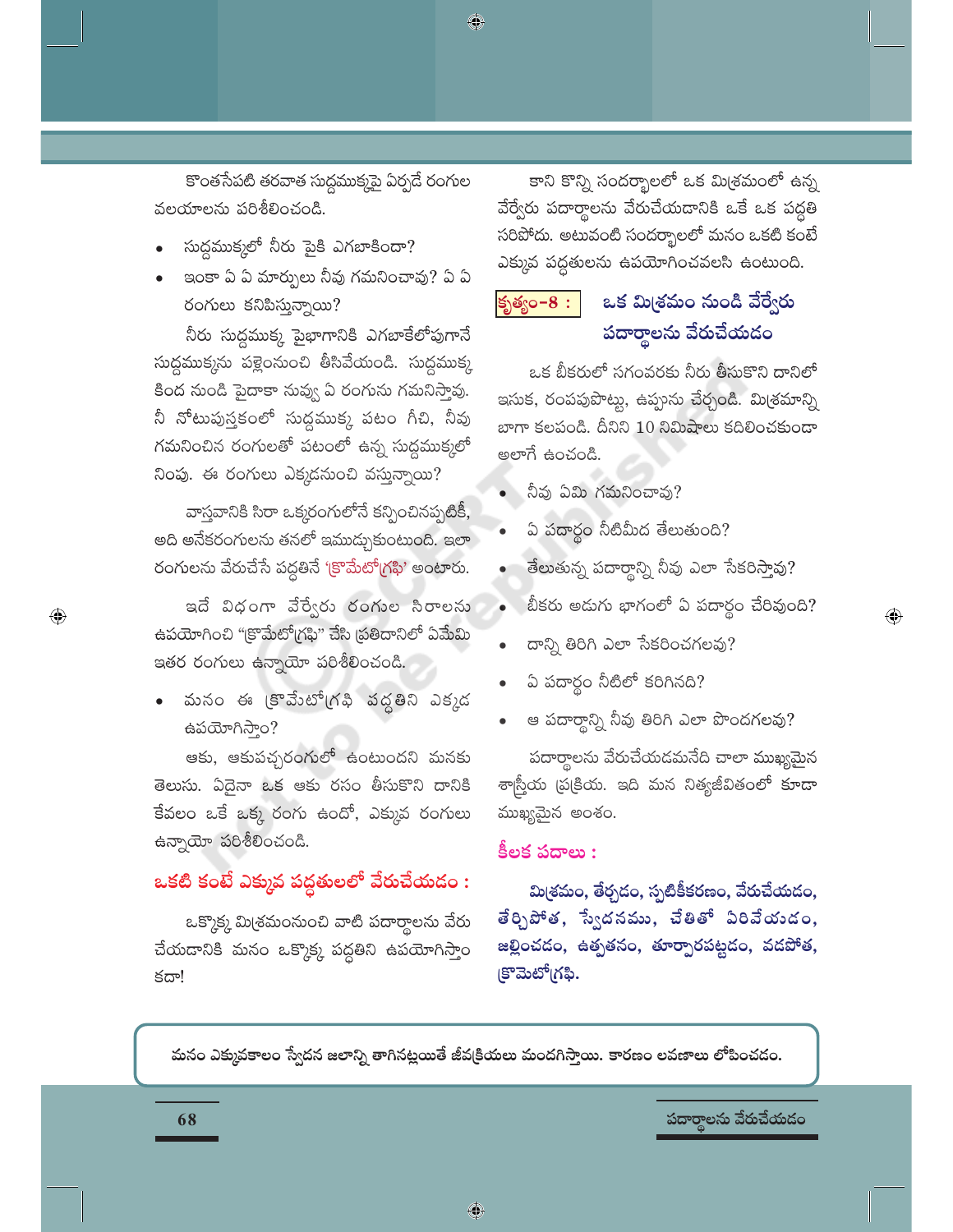కొంతసేపటి తరవాత సుద్ధముక్కపై ఏర్పడే రంగుల వలయాలను పరిశీలించండి.

♦

- సుద్ధముక్కలో నీరు పైకి ఎగబాకిందా?
- ఇంకా ఏ ఏ మార్పులు నీవు గమనించావు? ఏ ఏ రంగులు కనిపిస్తున్నాయి?

నీరు సుద్దముక్క పైభాగానికి ఎగబాకేలోపుగానే సుద్ధముక్కను పళ్లెంనుంచి తీసివేయండి. సుద్ధముక్క కింద నుండి పైదాకా నువ్వు ఏ రంగును గమనిస్తావు. నీ నోటుపుస్తకంలో సుద్దముక్క పటం గీచి, నీవు గమనించిన రంగులతో పటంలో ఉన్న సుద్దముక్కలో నింపు. ఈ రంగులు ఎక్కడనుంచి వస్తున్నాయి?

వాస్తవానికి సిరా ఒక్కరంగులోనే కన్పించినప్పటికీ, అది అనేకరంగులను తనలో ఇముద్చుకుంటుంది. ఇలా రంగులను వేరుచేసే పద్ధతినే 'క్రొమేటో(గఫి' అంటారు.

ఇదే విధంగా వేర్వేరు రంగుల సిరాలను ఉపయోగించి "క్రొమేటో(గఫి" చేసి (పతిదానిలో ఏమేమి ఇతర రంగులు ఉన్నాయో పరిశీలించండి.

మనం ఈ (కొవేుటో(గఫి వద్దతిని ఎక్కడ ఉపయోగిస్తాం?

ఆకు, ఆకుపచ్చరంగులో ఉంటుందని మనకు తెలుసు. ఏదైనా ఒక ఆకు రసం తీసుకొని దానికి కేవలం ఒకే ఒక్క రంగు ఉందో, ఎక్కువ రంగులు ఉన్నాయో పరిశీలించండి.

# ఒకటి కంటే ఎక్కువ పద్దతులలో వేరుచేయడం :

ఒక్కొక్క మి(శమంనుంచి వాటి పదార్థాలను వేరు చేయడానికి మనం ఒక్కొక్క పద్దతిని ఉపయోగిస్తాం కదా!

కాని కొన్ని సందర్భాలలో ఒక మి<sub>l</sub>శమంలో ఉన్న వేర్వేరు పదార్థాలను వేరుచేయదానికి ఒకే ఒక పద్ద<mark>తి</mark> సరిపోదు. అటువంటి సందర్భాలలో మనం ఒకటి కంటే ఎక్కువ పద్ధతులను ఉపయోగించవలసి ఉంటుంది.

#### ఒక మిశ్రమం నుండి వేర్వేరు కృత్యం–8 : పదార్థాలను వేరుచేయడం

ఒక బీకరులో సగంవరకు నీరు తీసుకొని దానిలో ఇసుక, రంపపుపొట్టు, ఉప్పును చేర్చండి. మి(శమాన్ని బాగా కలపండి. దీనిని 10 నిమిషాలు కదిలించకుండా అలాగే ఉంచండి.

- నీవు ఏమి గమనించావు?
- ఏ పదార్థం నీటిమీద తేలుతుంది?
- తేలుతున్న పదార్థాన్ని నీవు ఎలా సేకరిస్తావు?
- $\bullet$  బీకరు అడుగు భాగంలో ఏ పదార్థం చేరివుంది?

 $\textcolor{black}{\textcolor{black}{\bigoplus}}$ 

- దాన్ని తిరిగి ఎలా సేకరించగలవు?
- ఏ పదార్థం నీటిలో కరిగినది?
- ఆ పదార్థాన్ని నీవు తిరిగి ఎలా పొందగలవు?

పదార్థాలను వేరుచేయడమనేది చాలా ముఖ్యమైన శాస్ర్తీయ ప్రక్రియ. ఇది మన నిత్యజీవితంలో కూడా ముఖ్యమైన అంశం.

#### కీలక పదాలు :

మి(శమం, తేర్చడం, స్పటికీకరణం, వేరుచేయడం, తేర్చిపోత, స్వేదనము, చేతితో ఏరివేయండం, జల్లించదం, ఉత్పతనం, తూర్పారపట్టదం, వదపోత, క్రొమెటో(గఫి.

మనం ఎక్కువకాలం స్వేదన జలాన్ని తాగినట్లయితే జీవక్రియలు మందగిస్తాయి. కారణం లవణాలు లోపించదం.

♦

పదార్థాలను వేరుచేయడం